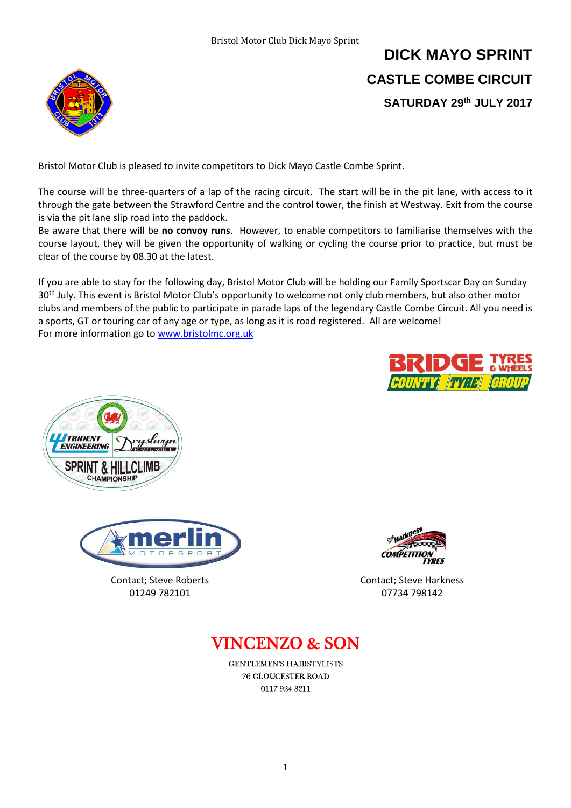



Bristol Motor Club is pleased to invite competitors to Dick Mayo Castle Combe Sprint.

The course will be three-quarters of a lap of the racing circuit. The start will be in the pit lane, with access to it through the gate between the Strawford Centre and the control tower, the finish at Westway. Exit from the course is via the pit lane slip road into the paddock.

Be aware that there will be **no convoy runs**. However, to enable competitors to familiarise themselves with the course layout, they will be given the opportunity of walking or cycling the course prior to practice, but must be clear of the course by 08.30 at the latest.

If you are able to stay for the following day, Bristol Motor Club will be holding our Family Sportscar Day on Sunday 30<sup>th</sup> July. This event is Bristol Motor Club's opportunity to welcome not only club members, but also other motor clubs and members of the public to participate in parade laps of the legendary Castle Combe Circuit. All you need is a sports, GT or touring car of any age or type, as long as it is road registered. All are welcome! For more information go t[o www.bristolmc.org.uk](http://www.bristolmc.org.uk/)







Contact; Steve Roberts 01249 782101



Contact; Steve Harkness 07734 798142

# **VINCENZO & SON**

**GENTLEMEN'S HAIRSTYLISTS 76 GLOUCESTER ROAD** 0117 924 8211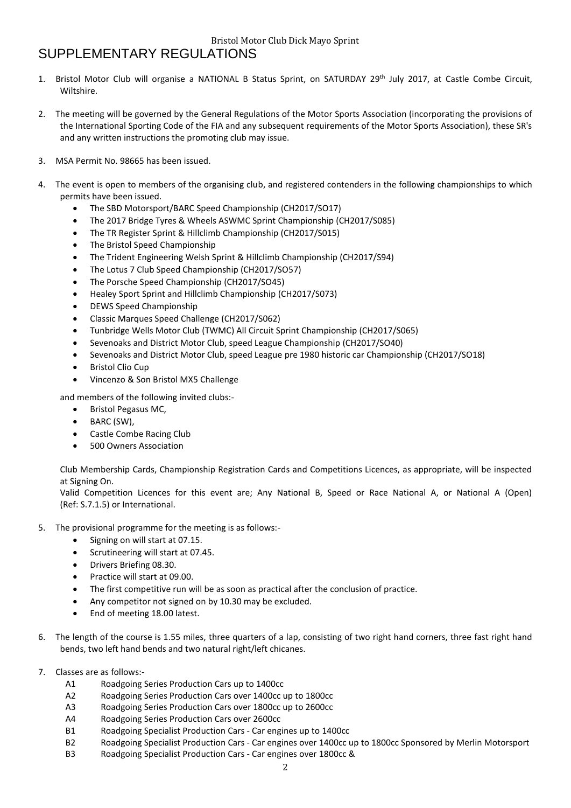# Bristol Motor Club Dick Mayo Sprint SUPPLEMENTARY REGULATIONS

- 1. Bristol Motor Club will organise a NATIONAL B Status Sprint, on SATURDAY 29<sup>th</sup> July 2017, at Castle Combe Circuit, Wiltshire.
- 2. The meeting will be governed by the General Regulations of the Motor Sports Association (incorporating the provisions of the International Sporting Code of the FIA and any subsequent requirements of the Motor Sports Association), these SR's and any written instructions the promoting club may issue.
- 3. MSA Permit No. 98665 has been issued.
- 4. The event is open to members of the organising club, and registered contenders in the following championships to which permits have been issued.
	- The SBD Motorsport/BARC Speed Championship (CH2017/SO17)
	- The 2017 Bridge Tyres & Wheels ASWMC Sprint Championship (CH2017/S085)
	- The TR Register Sprint & Hillclimb Championship (CH2017/S015)
	- The Bristol Speed Championship
	- The Trident Engineering Welsh Sprint & Hillclimb Championship (CH2017/S94)
	- The Lotus 7 Club Speed Championship (CH2017/SO57)
	- The Porsche Speed Championship (CH2017/SO45)
	- Healey Sport Sprint and Hillclimb Championship (CH2017/S073)
	- DEWS Speed Championship
	- Classic Marques Speed Challenge (CH2017/S062)
	- Tunbridge Wells Motor Club (TWMC) All Circuit Sprint Championship (CH2017/S065)
	- Sevenoaks and District Motor Club, speed League Championship (CH2017/SO40)
	- Sevenoaks and District Motor Club, speed League pre 1980 historic car Championship (CH2017/SO18)
	- **Bristol Clio Cup**
	- Vincenzo & Son Bristol MX5 Challenge

and members of the following invited clubs:-

- Bristol Pegasus MC,
- BARC (SW),
- Castle Combe Racing Club
- 500 Owners Association

Club Membership Cards, Championship Registration Cards and Competitions Licences, as appropriate, will be inspected at Signing On.

Valid Competition Licences for this event are; Any National B, Speed or Race National A, or National A (Open) (Ref: S.7.1.5) or International.

- 5. The provisional programme for the meeting is as follows:-
	- Signing on will start at 07.15.
	- Scrutineering will start at 07.45.
	- Drivers Briefing 08.30.
	- Practice will start at 09.00.
	- The first competitive run will be as soon as practical after the conclusion of practice.
	- Any competitor not signed on by 10.30 may be excluded.
	- End of meeting 18.00 latest.
- 6. The length of the course is 1.55 miles, three quarters of a lap, consisting of two right hand corners, three fast right hand bends, two left hand bends and two natural right/left chicanes.
- 7. Classes are as follows:-
	- A1 Roadgoing Series Production Cars up to 1400cc
	- A2 Roadgoing Series Production Cars over 1400cc up to 1800cc
	- A3 Roadgoing Series Production Cars over 1800cc up to 2600cc
	- A4 Roadgoing Series Production Cars over 2600cc
	- B1 Roadgoing Specialist Production Cars Car engines up to 1400cc
	- B2 Roadgoing Specialist Production Cars Car engines over 1400cc up to 1800cc Sponsored by Merlin Motorsport
	- B3 Roadgoing Specialist Production Cars Car engines over 1800cc &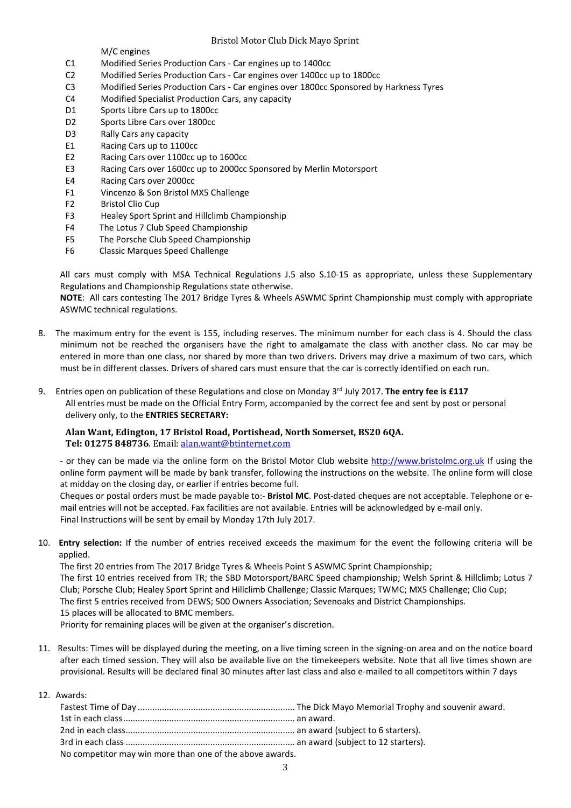#### Bristol Motor Club Dick Mayo Sprint

#### M/C engines

- C1 Modified Series Production Cars Car engines up to 1400cc
- C2 Modified Series Production Cars Car engines over 1400cc up to 1800cc
- C3 Modified Series Production Cars Car engines over 1800cc Sponsored by Harkness Tyres
- C4 Modified Specialist Production Cars, any capacity
- D1 Sports Libre Cars up to 1800cc
- D2 Sports Libre Cars over 1800cc
- D3 Rally Cars any capacity
- E1 Racing Cars up to 1100cc
- E2 Racing Cars over 1100cc up to 1600cc
- E3 Racing Cars over 1600cc up to 2000cc Sponsored by Merlin Motorsport
- E4 Racing Cars over 2000cc
- F1 Vincenzo & Son Bristol MX5 Challenge
- F2 Bristol Clio Cup
- F3 Healey Sport Sprint and Hillclimb Championship
- F4 The Lotus 7 Club Speed Championship
- F5 The Porsche Club Speed Championship
- F6 Classic Marques Speed Challenge

All cars must comply with MSA Technical Regulations J.5 also S.10-15 as appropriate, unless these Supplementary Regulations and Championship Regulations state otherwise.

**NOTE**: All cars contesting The 2017 Bridge Tyres & Wheels ASWMC Sprint Championship must comply with appropriate ASWMC technical regulations.

- 8. The maximum entry for the event is 155, including reserves. The minimum number for each class is 4. Should the class minimum not be reached the organisers have the right to amalgamate the class with another class. No car may be entered in more than one class, nor shared by more than two drivers. Drivers may drive a maximum of two cars, which must be in different classes. Drivers of shared cars must ensure that the car is correctly identified on each run.
- 9. Entries open on publication of these Regulations and close on Monday 3<sup>rd</sup> July 2017. The entry fee is £117 All entries must be made on the Official Entry Form, accompanied by the correct fee and sent by post or personal delivery only, to the **ENTRIES SECRETARY:**

#### **Alan Want, Edington, 17 Bristol Road, Portishead, North Somerset, BS20 6QA. Tel: 01275 848736**. Email: [alan.want@btinternet.com](mailto:alan.want@btinternet.com)

- or they can be made via the online form on the Bristol Motor Club website [http://www.bristolmc.org.uk](http://www.bristolmc.org.uk/) If using the online form payment will be made by bank transfer, following the instructions on the website. The online form will close at midday on the closing day, or earlier if entries become full.

Cheques or postal orders must be made payable to:- **Bristol MC**. Post-dated cheques are not acceptable. Telephone or email entries will not be accepted. Fax facilities are not available. Entries will be acknowledged by e-mail only. Final Instructions will be sent by email by Monday 17th July 2017.

10. **Entry selection:** If the number of entries received exceeds the maximum for the event the following criteria will be applied

The first 20 entries from The 2017 Bridge Tyres & Wheels Point S ASWMC Sprint Championship; The first 10 entries received from TR; the SBD Motorsport/BARC Speed championship; Welsh Sprint & Hillclimb; Lotus 7 Club; Porsche Club; Healey Sport Sprint and Hillclimb Challenge; Classic Marques; TWMC; MX5 Challenge; Clio Cup; The first 5 entries received from DEWS; 500 Owners Association; Sevenoaks and District Championships. 15 places will be allocated to BMC members.

Priority for remaining places will be given at the organiser's discretion.

- 11. Results: Times will be displayed during the meeting, on a live timing screen in the signing-on area and on the notice board after each timed session. They will also be available live on the timekeepers website. Note that all live times shown are provisional. Results will be declared final 30 minutes after last class and also e-mailed to all competitors within 7 days
- 12. Awards:

| No competitor may win more than one of the above awards. |  |
|----------------------------------------------------------|--|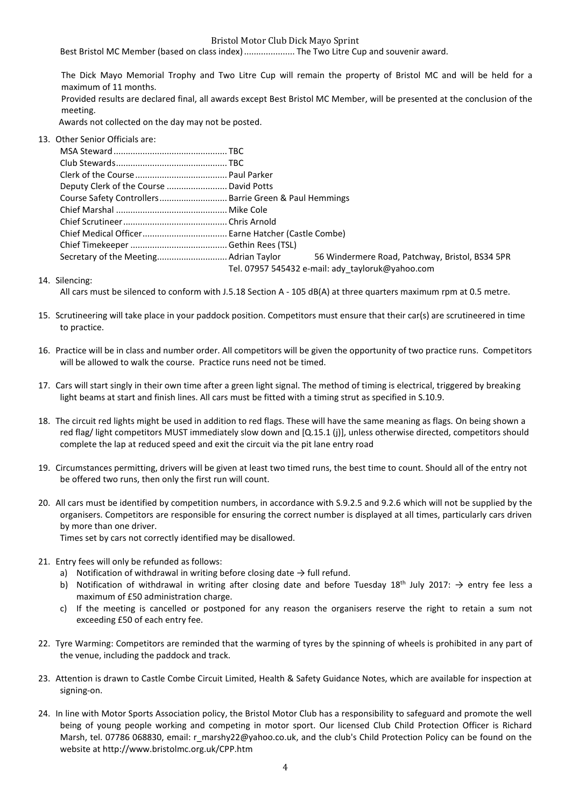Bristol Motor Club Dick Mayo Sprint

Best Bristol MC Member (based on class index)..................... The Two Litre Cup and souvenir award.

The Dick Mayo Memorial Trophy and Two Litre Cup will remain the property of Bristol MC and will be held for a maximum of 11 months.

Provided results are declared final, all awards except Best Bristol MC Member, will be presented at the conclusion of the meeting.

Awards not collected on the day may not be posted.

13. Other Senior Officials are:

| Deputy Clerk of the Course  David Potts                |                                                  |
|--------------------------------------------------------|--------------------------------------------------|
| Course Safety Controllers Barrie Green & Paul Hemmings |                                                  |
|                                                        |                                                  |
|                                                        |                                                  |
|                                                        |                                                  |
|                                                        |                                                  |
|                                                        |                                                  |
|                                                        | Tel. 07957 545432 e-mail: ady tayloruk@yahoo.com |

#### 14. Silencing:

All cars must be silenced to conform with J.5.18 Section A - 105 dB(A) at three quarters maximum rpm at 0.5 metre.

- 15. Scrutineering will take place in your paddock position. Competitors must ensure that their car(s) are scrutineered in time to practice.
- 16. Practice will be in class and number order. All competitors will be given the opportunity of two practice runs. Competitors will be allowed to walk the course. Practice runs need not be timed.
- 17. Cars will start singly in their own time after a green light signal. The method of timing is electrical, triggered by breaking light beams at start and finish lines. All cars must be fitted with a timing strut as specified in S.10.9.
- 18. The circuit red lights might be used in addition to red flags. These will have the same meaning as flags. On being shown a red flag/ light competitors MUST immediately slow down and [Q.15.1 (j)], unless otherwise directed, competitors should complete the lap at reduced speed and exit the circuit via the pit lane entry road
- 19. Circumstances permitting, drivers will be given at least two timed runs, the best time to count. Should all of the entry not be offered two runs, then only the first run will count.
- 20. All cars must be identified by competition numbers, in accordance with S.9.2.5 and 9.2.6 which will not be supplied by the organisers. Competitors are responsible for ensuring the correct number is displayed at all times, particularly cars driven by more than one driver.

Times set by cars not correctly identified may be disallowed.

- 21. Entry fees will only be refunded as follows:
	- a) Notification of withdrawal in writing before closing date  $\rightarrow$  full refund.
	- b) Notification of withdrawal in writing after closing date and before Tuesday 18<sup>th</sup> July 2017:  $\rightarrow$  entry fee less a maximum of £50 administration charge.
	- c) If the meeting is cancelled or postponed for any reason the organisers reserve the right to retain a sum not exceeding £50 of each entry fee.
- 22. Tyre Warming: Competitors are reminded that the warming of tyres by the spinning of wheels is prohibited in any part of the venue, including the paddock and track.
- 23. Attention is drawn to Castle Combe Circuit Limited, Health & Safety Guidance Notes, which are available for inspection at signing-on.
- 24. In line with Motor Sports Association policy, the Bristol Motor Club has a responsibility to safeguard and promote the well being of young people working and competing in motor sport. Our licensed Club Child Protection Officer is Richard Marsh, tel. 07786 068830, email: r\_marshy22@yahoo.co.uk, and the club's Child Protection Policy can be found on the website at http://www.bristolmc.org.uk/CPP.htm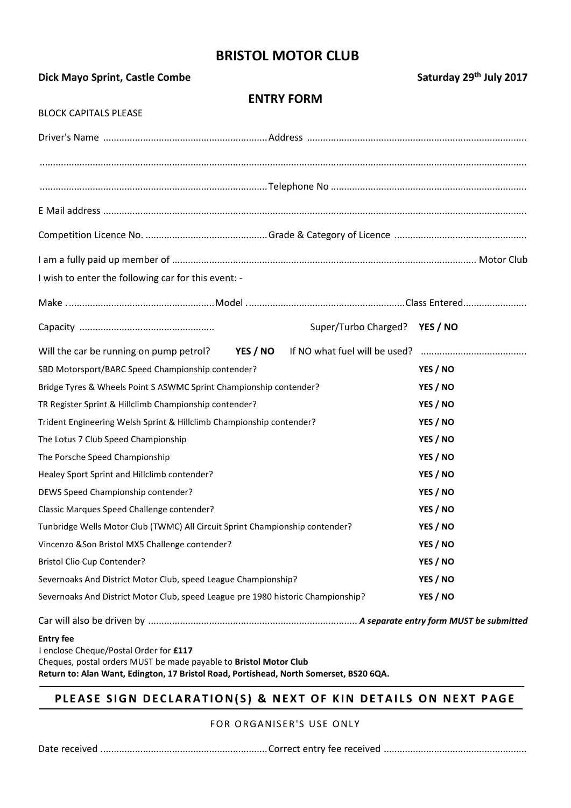# **BRISTOL MOTOR CLUB**

**Dick Mayo Sprint, Castle Combe Saturday Saturday 29<sup>th</sup> July 2017** 

**ENTRY FORM**

| <b>BLOCK CAPITALS PLEASE</b>                                                     |                               |          |  |
|----------------------------------------------------------------------------------|-------------------------------|----------|--|
|                                                                                  |                               |          |  |
|                                                                                  |                               |          |  |
|                                                                                  |                               |          |  |
|                                                                                  |                               |          |  |
|                                                                                  |                               |          |  |
| I wish to enter the following car for this event: -                              |                               |          |  |
|                                                                                  |                               |          |  |
|                                                                                  | Super/Turbo Charged? YES / NO |          |  |
| YES / NO<br>Will the car be running on pump petrol?                              | If NO what fuel will be used? |          |  |
| SBD Motorsport/BARC Speed Championship contender?                                |                               | YES / NO |  |
| Bridge Tyres & Wheels Point S ASWMC Sprint Championship contender?               |                               | YES / NO |  |
| TR Register Sprint & Hillclimb Championship contender?                           |                               | YES / NO |  |
| Trident Engineering Welsh Sprint & Hillclimb Championship contender?             |                               | YES / NO |  |
| The Lotus 7 Club Speed Championship                                              |                               | YES / NO |  |
| The Porsche Speed Championship                                                   |                               | YES / NO |  |
| Healey Sport Sprint and Hillclimb contender?                                     |                               | YES / NO |  |
| DEWS Speed Championship contender?                                               |                               | YES / NO |  |
| Classic Marques Speed Challenge contender?                                       |                               | YES / NO |  |
| Tunbridge Wells Motor Club (TWMC) All Circuit Sprint Championship contender?     |                               | YES / NO |  |
| Vincenzo &Son Bristol MX5 Challenge contender?                                   |                               | YES / NO |  |
| <b>Bristol Clio Cup Contender?</b>                                               |                               | YES / NO |  |
| Severnoaks And District Motor Club, speed League Championship?                   |                               | YES / NO |  |
| Severnoaks And District Motor Club, speed League pre 1980 historic Championship? |                               | YES / NO |  |
|                                                                                  |                               |          |  |
| <b>Entry fee</b><br>I enclose Cheque/Postal Order for £117                       |                               |          |  |

Cheques, postal orders MUST be made payable to **Bristol Motor Club**

**Return to: Alan Want, Edington, 17 Bristol Road, Portishead, North Somerset, BS20 6QA.**

# **PLEASE SIGN DECLARATION(S) & NEXT OF KIN DETAILS ON NEXT PAGE**

FOR ORGANISER'S USE ONLY

Date received ...............................................................Correct entry fee received ......................................................